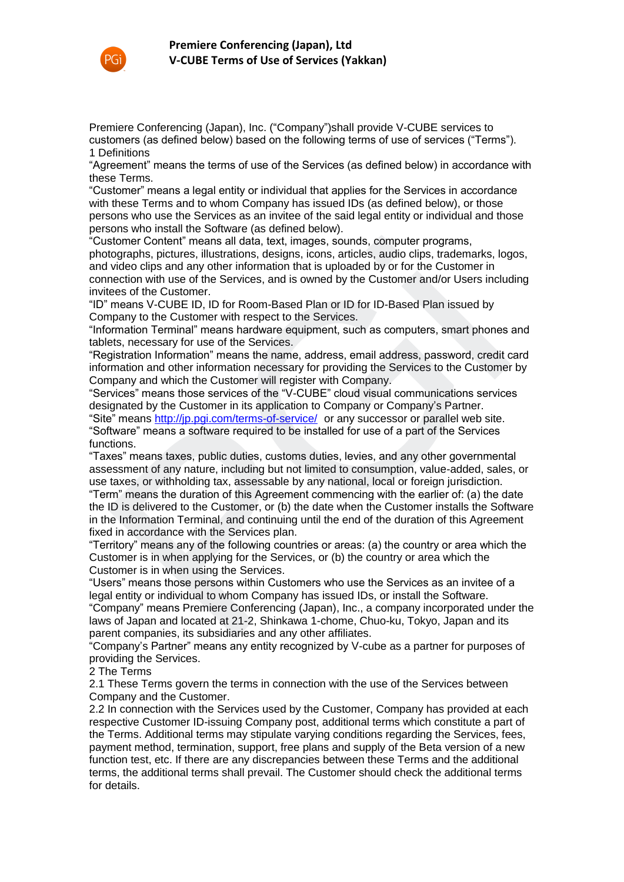

Premiere Conferencing (Japan), Inc. ("Company")shall provide V-CUBE services to customers (as defined below) based on the following terms of use of services ("Terms"). 1 Definitions

"Agreement" means the terms of use of the Services (as defined below) in accordance with these Terms.

"Customer" means a legal entity or individual that applies for the Services in accordance with these Terms and to whom Company has issued IDs (as defined below), or those persons who use the Services as an invitee of the said legal entity or individual and those persons who install the Software (as defined below).

"Customer Content" means all data, text, images, sounds, computer programs, photographs, pictures, illustrations, designs, icons, articles, audio clips, trademarks, logos, and video clips and any other information that is uploaded by or for the Customer in connection with use of the Services, and is owned by the Customer and/or Users including invitees of the Customer.

"ID" means V-CUBE ID, ID for Room-Based Plan or ID for ID-Based Plan issued by Company to the Customer with respect to the Services.

"Information Terminal" means hardware equipment, such as computers, smart phones and tablets, necessary for use of the Services.

"Registration Information" means the name, address, email address, password, credit card information and other information necessary for providing the Services to the Customer by Company and which the Customer will register with Company.

"Services" means those services of the "V-CUBE" cloud visual communications services designated by the Customer in its application to Company or Company's Partner.

"Site" means http://jp.pgi.com/terms-of-service/ or any successor or parallel web site. "Software" means a software required to be installed for use of a part of the Services functions.

"Taxes" means taxes, public duties, customs duties, levies, and any other governmental assessment of any nature, including but not limited to consumption, value-added, sales, or use taxes, or withholding tax, assessable by any national, local or foreign jurisdiction. "Term" means the duration of this Agreement commencing with the earlier of: (a) the date the ID is delivered to the Customer, or (b) the date when the Customer installs the Software stomer Content" means all data, text, images, sounts, computer programs, computer programs, brographs, pictures, illustrations, designs, icons, articles of visor visor of visor of visor of visor of visor of visor of visor

in the Information Terminal, and continuing until the end of the duration of this Agreement fixed in accordance with the Services plan.

"Territory" means any of the following countries or areas: (a) the country or area which the Customer is in when applying for the Services, or (b) the country or area which the Customer is in when using the Services.

"Users" means those persons within Customers who use the Services as an invitee of a legal entity or individual to whom Company has issued IDs, or install the Software.

"Company" means Premiere Conferencing (Japan), Inc., a company incorporated under the laws of Japan and located at 21-2, Shinkawa 1-chome, Chuo-ku, Tokyo, Japan and its parent companies, its subsidiaries and any other affiliates.

"Company's Partner" means any entity recognized by V-cube as a partner for purposes of providing the Services.

2 The Terms

2.1 These Terms govern the terms in connection with the use of the Services between Company and the Customer.

2.2 In connection with the Services used by the Customer, Company has provided at each respective Customer ID-issuing Company post, additional terms which constitute a part of the Terms. Additional terms may stipulate varying conditions regarding the Services, fees, payment method, termination, support, free plans and supply of the Beta version of a new function test, etc. If there are any discrepancies between these Terms and the additional terms, the additional terms shall prevail. The Customer should check the additional terms for details.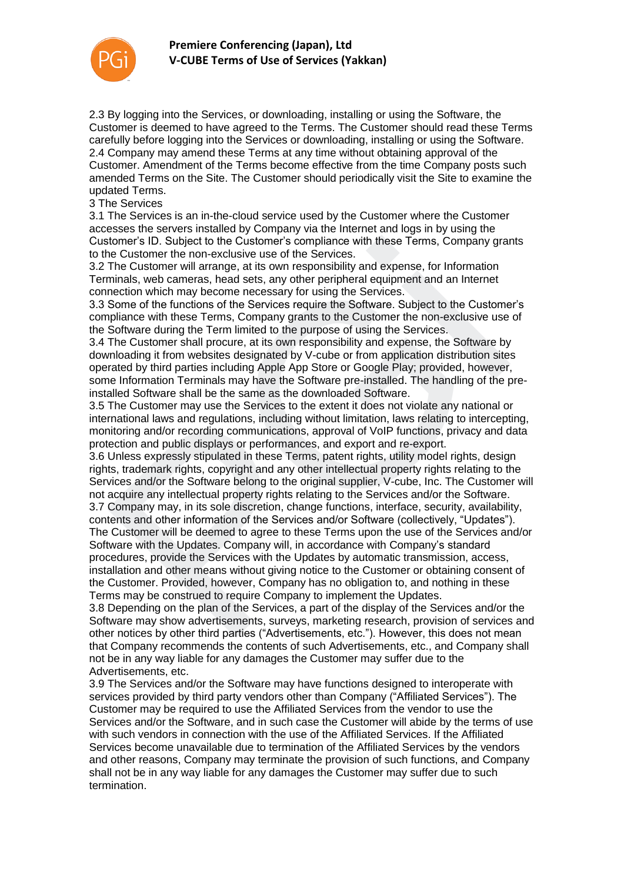

2.3 By logging into the Services, or downloading, installing or using the Software, the Customer is deemed to have agreed to the Terms. The Customer should read these Terms carefully before logging into the Services or downloading, installing or using the Software. 2.4 Company may amend these Terms at any time without obtaining approval of the Customer. Amendment of the Terms become effective from the time Company posts such amended Terms on the Site. The Customer should periodically visit the Site to examine the updated Terms.

#### 3 The Services

3.1 The Services is an in-the-cloud service used by the Customer where the Customer accesses the servers installed by Company via the Internet and logs in by using the Customer's ID. Subject to the Customer's compliance with these Terms, Company grants to the Customer the non-exclusive use of the Services.

3.2 The Customer will arrange, at its own responsibility and expense, for Information Terminals, web cameras, head sets, any other peripheral equipment and an Internet connection which may become necessary for using the Services.

3.3 Some of the functions of the Services require the Software. Subject to the Customer's compliance with these Terms, Company grants to the Customer the non-exclusive use of the Software during the Term limited to the purpose of using the Services.

3.4 The Customer shall procure, at its own responsibility and expense, the Software by downloading it from websites designated by V-cube or from application distribution sites operated by third parties including Apple App Store or Google Play; provided, however, some Information Terminals may have the Software pre-installed. The handling of the preinstalled Software shall be the same as the downloaded Software.

3.5 The Customer may use the Services to the extent it does not violate any national or international laws and regulations, including without limitation, laws relating to intercepting, monitoring and/or recording communications, approval of VoIP functions, privacy and data protection and public displays or performances, and export and re-export.

3.6 Unless expressly stipulated in these Terms, patent rights, utility model rights, design rights, trademark rights, copyright and any other intellectual property rights relating to the Services and/or the Software belong to the original supplier, V-cube, Inc. The Customer will not acquire any intellectual property rights relating to the Services and/or the Software. 3.7 Company may, in its sole discretion, change functions, interface, security, availability, contents and other information of the Services and/or Software (collectively, "Updates"). The Customer will be deemed to agree to these Terms upon the use of the Services and/or Software with the Updates. Company will, in accordance with Company's standard procedures, provide the Services with the Updates by automatic transmission, access, installation and other means without giving notice to the Customer or obtaining consent of the Customer. Provided, however, Company has no obligation to, and nothing in these Terms may be construed to require Company to implement the Updates. itomer's ID. Subject to the Customer's compliance with these Terms, Company granche Customer the non-exclusive use of the Services.<br>The Customer the Indramage, at its own responsibility and expense, for Information minisis

3.8 Depending on the plan of the Services, a part of the display of the Services and/or the Software may show advertisements, surveys, marketing research, provision of services and other notices by other third parties ("Advertisements, etc."). However, this does not mean that Company recommends the contents of such Advertisements, etc., and Company shall not be in any way liable for any damages the Customer may suffer due to the Advertisements, etc.

3.9 The Services and/or the Software may have functions designed to interoperate with services provided by third party vendors other than Company ("Affiliated Services"). The Customer may be required to use the Affiliated Services from the vendor to use the Services and/or the Software, and in such case the Customer will abide by the terms of use with such vendors in connection with the use of the Affiliated Services. If the Affiliated Services become unavailable due to termination of the Affiliated Services by the vendors and other reasons, Company may terminate the provision of such functions, and Company shall not be in any way liable for any damages the Customer may suffer due to such termination.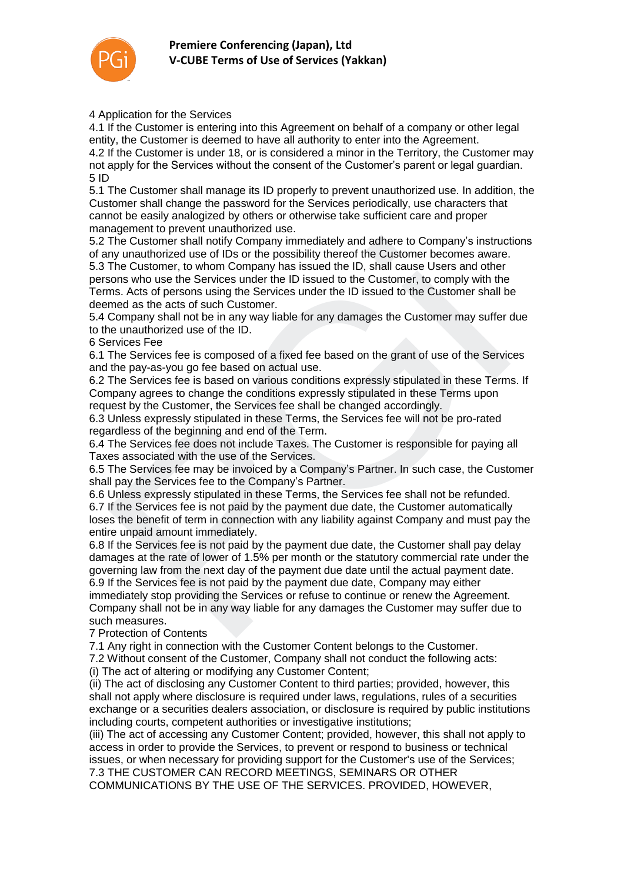

4 Application for the Services

4.1 If the Customer is entering into this Agreement on behalf of a company or other legal entity, the Customer is deemed to have all authority to enter into the Agreement. 4.2 If the Customer is under 18, or is considered a minor in the Territory, the Customer may not apply for the Services without the consent of the Customer's parent or legal guardian. 5 ID

5.1 The Customer shall manage its ID properly to prevent unauthorized use. In addition, the Customer shall change the password for the Services periodically, use characters that cannot be easily analogized by others or otherwise take sufficient care and proper management to prevent unauthorized use.

5.2 The Customer shall notify Company immediately and adhere to Company's instructions of any unauthorized use of IDs or the possibility thereof the Customer becomes aware. 5.3 The Customer, to whom Company has issued the ID, shall cause Users and other persons who use the Services under the ID issued to the Customer, to comply with the Terms. Acts of persons using the Services under the ID issued to the Customer shall be deemed as the acts of such Customer.

5.4 Company shall not be in any way liable for any damages the Customer may suffer due to the unauthorized use of the ID.

6 Services Fee

6.1 The Services fee is composed of a fixed fee based on the grant of use of the Services and the pay-as-you go fee based on actual use.

6.2 The Services fee is based on various conditions expressly stipulated in these Terms. If Company agrees to change the conditions expressly stipulated in these Terms upon request by the Customer, the Services fee shall be changed accordingly.

6.3 Unless expressly stipulated in these Terms, the Services fee will not be pro-rated regardless of the beginning and end of the Term.

6.4 The Services fee does not include Taxes. The Customer is responsible for paying all Taxes associated with the use of the Services.

6.5 The Services fee may be invoiced by a Company's Partner. In such case, the Customer shall pay the Services fee to the Company's Partner.

6.6 Unless expressly stipulated in these Terms, the Services fee shall not be refunded. 6.7 If the Services fee is not paid by the payment due date, the Customer automatically loses the benefit of term in connection with any liability against Company and must pay the entire unpaid amount immediately.

6.8 If the Services fee is not paid by the payment due date, the Customer shall pay delay damages at the rate of lower of 1.5% per month or the statutory commercial rate under the governing law from the next day of the payment due date until the actual payment date. 6.9 If the Services fee is not paid by the payment due date, Company may either immediately stop providing the Services or refuse to continue or renew the Agreement. Company shall not be in any way liable for any damages the Customer may suffer due to such measures. The Customer shall notity Company immediately and addrere to Company's instruction<br>ory unauthorized use of IDs or the possibility thereof the Customer becomes aware.<br>The Customer, to whom Company has issued the ID, shall c

7 Protection of Contents

7.1 Any right in connection with the Customer Content belongs to the Customer.

7.2 Without consent of the Customer, Company shall not conduct the following acts:

(i) The act of altering or modifying any Customer Content;

(ii) The act of disclosing any Customer Content to third parties; provided, however, this shall not apply where disclosure is required under laws, regulations, rules of a securities exchange or a securities dealers association, or disclosure is required by public institutions including courts, competent authorities or investigative institutions;

(iii) The act of accessing any Customer Content; provided, however, this shall not apply to access in order to provide the Services, to prevent or respond to business or technical issues, or when necessary for providing support for the Customer's use of the Services; 7.3 THE CUSTOMER CAN RECORD MEETINGS, SEMINARS OR OTHER

COMMUNICATIONS BY THE USE OF THE SERVICES. PROVIDED, HOWEVER,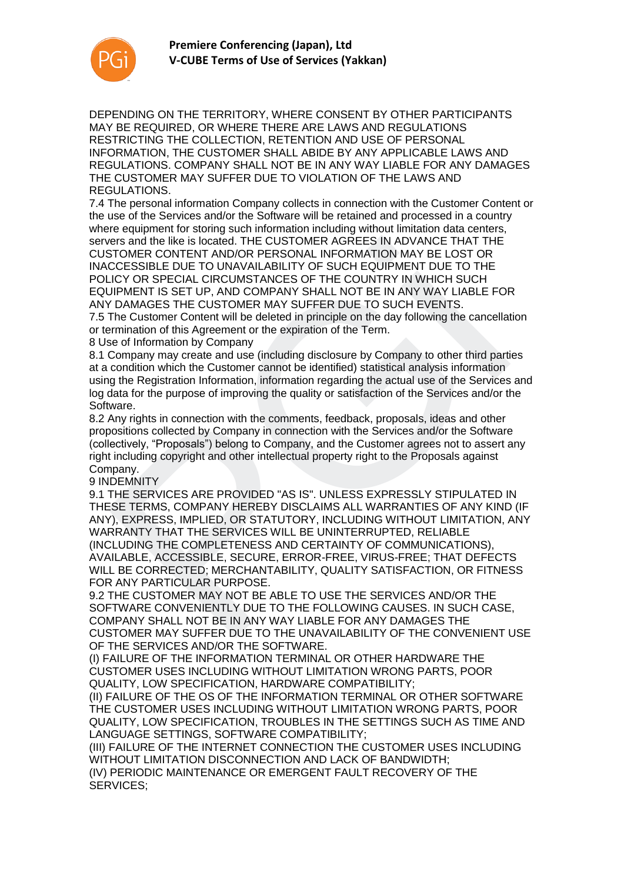

DEPENDING ON THE TERRITORY, WHERE CONSENT BY OTHER PARTICIPANTS MAY BE REQUIRED, OR WHERE THERE ARE LAWS AND REGULATIONS RESTRICTING THE COLLECTION, RETENTION AND USE OF PERSONAL INFORMATION, THE CUSTOMER SHALL ABIDE BY ANY APPLICABLE LAWS AND REGULATIONS. COMPANY SHALL NOT BE IN ANY WAY LIABLE FOR ANY DAMAGES THE CUSTOMER MAY SUFFER DUE TO VIOLATION OF THE LAWS AND REGULATIONS.

7.4 The personal information Company collects in connection with the Customer Content or the use of the Services and/or the Software will be retained and processed in a country where equipment for storing such information including without limitation data centers, servers and the like is located. THE CUSTOMER AGREES IN ADVANCE THAT THE CUSTOMER CONTENT AND/OR PERSONAL INFORMATION MAY BE LOST OR INACCESSIBLE DUE TO UNAVAILABILITY OF SUCH EQUIPMENT DUE TO THE POLICY OR SPECIAL CIRCUMSTANCES OF THE COUNTRY IN WHICH SUCH EQUIPMENT IS SET UP, AND COMPANY SHALL NOT BE IN ANY WAY LIABLE FOR ANY DAMAGES THE CUSTOMER MAY SUFFER DUE TO SUCH EVENTS.

7.5 The Customer Content will be deleted in principle on the day following the cancellation or termination of this Agreement or the expiration of the Term.

8 Use of Information by Company

8.1 Company may create and use (including disclosure by Company to other third parties at a condition which the Customer cannot be identified) statistical analysis information using the Registration Information, information regarding the actual use of the Services and log data for the purpose of improving the quality or satisfaction of the Services and/or the Software.

8.2 Any rights in connection with the comments, feedback, proposals, ideas and other propositions collected by Company in connection with the Services and/or the Software (collectively, "Proposals") belong to Company, and the Customer agrees not to assert any right including copyright and other intellectual property right to the Proposals against Company.

9 INDEMNITY

9.1 THE SERVICES ARE PROVIDED "AS IS". UNLESS EXPRESSLY STIPULATED IN THESE TERMS, COMPANY HEREBY DISCLAIMS ALL WARRANTIES OF ANY KIND (IF ANY), EXPRESS, IMPLIED, OR STATUTORY, INCLUDING WITHOUT LIMITATION, ANY WARRANTY THAT THE SERVICES WILL BE UNINTERRUPTED, RELIABLE (INCLUDING THE COMPLETENESS AND CERTAINTY OF COMMUNICATIONS), AVAILABLE, ACCESSIBLE, SECURE, ERROR-FREE, VIRUS-FREE; THAT DEFECTS WILL BE CORRECTED; MERCHANTABILITY, QUALITY SATISFACTION, OR FITNESS FOR ANY PARTICULAR PURPOSE. ers and the like is located. THE CUSTOMER AGREES IN ADVANCE THAT THE CUSTOMER AND CUSTOMER AND CONFIRM THE COURNAL INFORMATION MAY BE LOST OR CCESSIBLE DUE TO UNAVAILABILITY OF SUCH EQUIPMENT DUE TO THE LCY OR SPECIAL CIRC

9.2 THE CUSTOMER MAY NOT BE ABLE TO USE THE SERVICES AND/OR THE SOFTWARE CONVENIENTLY DUE TO THE FOLLOWING CAUSES. IN SUCH CASE, COMPANY SHALL NOT BE IN ANY WAY LIABLE FOR ANY DAMAGES THE CUSTOMER MAY SUFFER DUE TO THE UNAVAILABILITY OF THE CONVENIENT USE OF THE SERVICES AND/OR THE SOFTWARE.

(I) FAILURE OF THE INFORMATION TERMINAL OR OTHER HARDWARE THE CUSTOMER USES INCLUDING WITHOUT LIMITATION WRONG PARTS, POOR QUALITY, LOW SPECIFICATION, HARDWARE COMPATIBILITY;

(II) FAILURE OF THE OS OF THE INFORMATION TERMINAL OR OTHER SOFTWARE THE CUSTOMER USES INCLUDING WITHOUT LIMITATION WRONG PARTS, POOR QUALITY, LOW SPECIFICATION, TROUBLES IN THE SETTINGS SUCH AS TIME AND LANGUAGE SETTINGS, SOFTWARE COMPATIBILITY;

(III) FAILURE OF THE INTERNET CONNECTION THE CUSTOMER USES INCLUDING WITHOUT LIMITATION DISCONNECTION AND LACK OF BANDWIDTH;

(IV) PERIODIC MAINTENANCE OR EMERGENT FAULT RECOVERY OF THE SERVICES;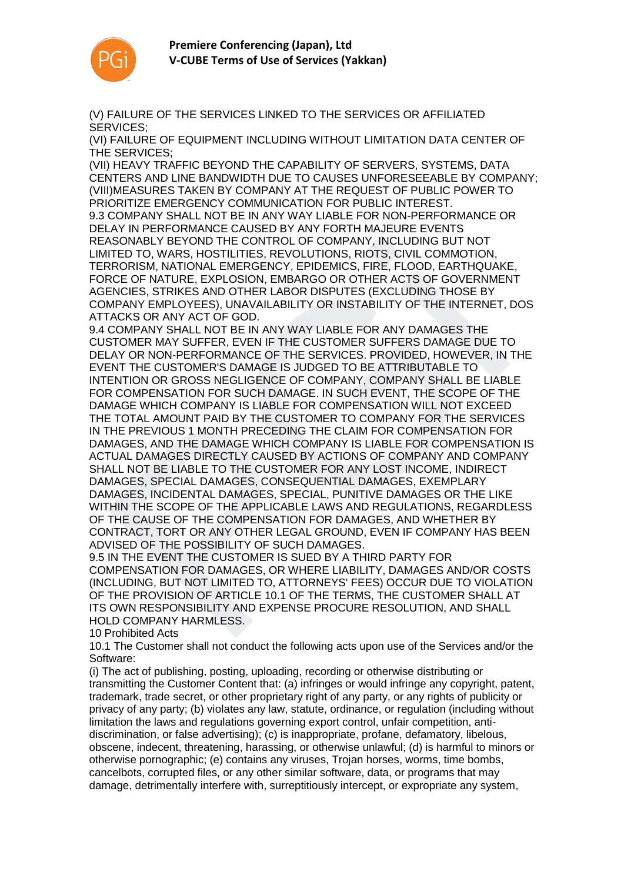

(V) FAILURE OF THE SERVICES LINKED TO THE SERVICES OR AFFILIATED SERVICES;

(VI) FAILURE OF EQUIPMENT INCLUDING WITHOUT LIMITATION DATA CENTER OF THE SERVICES;

(VII) HEAVY TRAFFIC BEYOND THE CAPABILITY OF SERVERS, SYSTEMS, DATA CENTERS AND LINE BANDWIDTH DUE TO CAUSES UNFORESEEABLE BY COMPANY; (VIII)MEASURES TAKEN BY COMPANY AT THE REQUEST OF PUBLIC POWER TO PRIORITIZE EMERGENCY COMMUNICATION FOR PUBLIC INTEREST. 9.3 COMPANY SHALL NOT BE IN ANY WAY LIABLE FOR NON-PERFORMANCE OR DELAY IN PERFORMANCE CAUSED BY ANY FORTH MAJEURE EVENTS REASONABLY BEYOND THE CONTROL OF COMPANY, INCLUDING BUT NOT LIMITED TO, WARS, HOSTILITIES, REVOLUTIONS, RIOTS, CIVIL COMMOTION, TERRORISM, NATIONAL EMERGENCY, EPIDEMICS, FIRE, FLOOD, EARTHQUAKE, FORCE OF NATURE, EXPLOSION, EMBARGO OR OTHER ACTS OF GOVERNMENT AGENCIES, STRIKES AND OTHER LABOR DISPUTES (EXCLUDING THOSE BY COMPANY EMPLOYEES), UNAVAILABILITY OR INSTABILITY OF THE INTERNET, DOS ATTACKS OR ANY ACT OF GOD.

9.4 COMPANY SHALL NOT BE IN ANY WAY LIABLE FOR ANY DAMAGES THE CUSTOMER MAY SUFFER, EVEN IF THE CUSTOMER SUFFERS DAMAGE DUE TO DELAY OR NON-PERFORMANCE OF THE SERVICES. PROVIDED, HOWEVER, IN THE EVENT THE CUSTOMER'S DAMAGE IS JUDGED TO BE ATTRIBUTABLE TO INTENTION OR GROSS NEGLIGENCE OF COMPANY, COMPANY SHALL BE LIABLE FOR COMPENSATION FOR SUCH DAMAGE. IN SUCH EVENT, THE SCOPE OF THE DAMAGE WHICH COMPANY IS LIABLE FOR COMPENSATION WILL NOT EXCEED THE TOTAL AMOUNT PAID BY THE CUSTOMER TO COMPANY FOR THE SERVICES IN THE PREVIOUS 1 MONTH PRECEDING THE CLAIM FOR COMPENSATION FOR DAMAGES, AND THE DAMAGE WHICH COMPANY IS LIABLE FOR COMPENSATION IS ACTUAL DAMAGES DIRECTLY CAUSED BY ACTIONS OF COMPANY AND COMPANY SHALL NOT BE LIABLE TO THE CUSTOMER FOR ANY LOST INCOME, INDIRECT DAMAGES, SPECIAL DAMAGES, CONSEQUENTIAL DAMAGES, EXEMPLARY DAMAGES, INCIDENTAL DAMAGES, SPECIAL, PUNITIVE DAMAGES OR THE LIKE WITHIN THE SCOPE OF THE APPLICABLE LAWS AND REGULATIONS, REGARDLESS OF THE CAUSE OF THE COMPENSATION FOR DAMAGES, AND WHETHER BY CONTRACT, TORT OR ANY OTHER LEGAL GROUND, EVEN IF COMPANY HAS BEEN ADVISED OF THE POSSIBILITY OF SUCH DAMAGES. SOONABLY BEYOND THE CONTROL OF COMPANY, INCLUDING BUT NOT<br>HED TO, WARS, HOSTILITIES, REVOLUTIONS, RIOTS, CIVIL COMMOTION,<br>RRORISM, NATIONAL EMERGENCY, EPIDEMICS, FIRE, FLOOD, EARTHQUAKE<br>CC OF NATURE, EXPLOSION, EMBARGO OR

9.5 IN THE EVENT THE CUSTOMER IS SUED BY A THIRD PARTY FOR COMPENSATION FOR DAMAGES, OR WHERE LIABILITY, DAMAGES AND/OR COSTS (INCLUDING, BUT NOT LIMITED TO, ATTORNEYS' FEES) OCCUR DUE TO VIOLATION OF THE PROVISION OF ARTICLE 10.1 OF THE TERMS, THE CUSTOMER SHALL AT ITS OWN RESPONSIBILITY AND EXPENSE PROCURE RESOLUTION, AND SHALL HOLD COMPANY HARMLESS.

10 Prohibited Acts

10.1 The Customer shall not conduct the following acts upon use of the Services and/or the Software:

(i) The act of publishing, posting, uploading, recording or otherwise distributing or transmitting the Customer Content that: (a) infringes or would infringe any copyright, patent, trademark, trade secret, or other proprietary right of any party, or any rights of publicity or privacy of any party; (b) violates any law, statute, ordinance, or regulation (including without limitation the laws and regulations governing export control, unfair competition, antidiscrimination, or false advertising); (c) is inappropriate, profane, defamatory, libelous, obscene, indecent, threatening, harassing, or otherwise unlawful; (d) is harmful to minors or otherwise pornographic; (e) contains any viruses, Trojan horses, worms, time bombs, cancelbots, corrupted files, or any other similar software, data, or programs that may damage, detrimentally interfere with, surreptitiously intercept, or expropriate any system,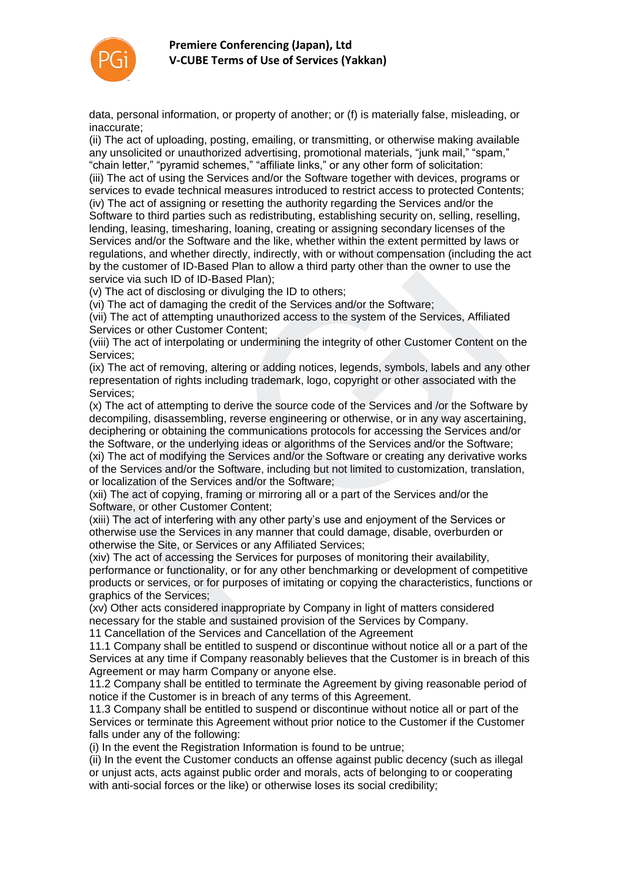

data, personal information, or property of another; or (f) is materially false, misleading, or inaccurate;

(ii) The act of uploading, posting, emailing, or transmitting, or otherwise making available any unsolicited or unauthorized advertising, promotional materials, "junk mail," "spam," "chain letter," "pyramid schemes," "affiliate links," or any other form of solicitation: (iii) The act of using the Services and/or the Software together with devices, programs or services to evade technical measures introduced to restrict access to protected Contents; (iv) The act of assigning or resetting the authority regarding the Services and/or the Software to third parties such as redistributing, establishing security on, selling, reselling, lending, leasing, timesharing, loaning, creating or assigning secondary licenses of the Services and/or the Software and the like, whether within the extent permitted by laws or regulations, and whether directly, indirectly, with or without compensation (including the act by the customer of ID-Based Plan to allow a third party other than the owner to use the service via such ID of ID-Based Plan);

(v) The act of disclosing or divulging the ID to others;

(vi) The act of damaging the credit of the Services and/or the Software;

(vii) The act of attempting unauthorized access to the system of the Services, Affiliated Services or other Customer Content;

(viii) The act of interpolating or undermining the integrity of other Customer Content on the Services;

(ix) The act of removing, altering or adding notices, legends, symbols, labels and any other representation of rights including trademark, logo, copyright or other associated with the Services;

(x) The act of attempting to derive the source code of the Services and /or the Software by decompiling, disassembling, reverse engineering or otherwise, or in any way ascertaining, deciphering or obtaining the communications protocols for accessing the Services and/or the Software, or the underlying ideas or algorithms of the Services and/or the Software; (xi) The act of modifying the Services and/or the Software or creating any derivative works wices and/or the Software and the like, whether within the extent permitted by laws culations, and whether directly, indirectly, with or without compensation (including the customer of ID-Based Plan to allow a third party

of the Services and/or the Software, including but not limited to customization, translation, or localization of the Services and/or the Software;

(xii) The act of copying, framing or mirroring all or a part of the Services and/or the Software, or other Customer Content;

(xiii) The act of interfering with any other party's use and enjoyment of the Services or otherwise use the Services in any manner that could damage, disable, overburden or otherwise the Site, or Services or any Affiliated Services;

(xiv) The act of accessing the Services for purposes of monitoring their availability, performance or functionality, or for any other benchmarking or development of competitive products or services, or for purposes of imitating or copying the characteristics, functions or graphics of the Services;

(xv) Other acts considered inappropriate by Company in light of matters considered necessary for the stable and sustained provision of the Services by Company.

11 Cancellation of the Services and Cancellation of the Agreement

11.1 Company shall be entitled to suspend or discontinue without notice all or a part of the Services at any time if Company reasonably believes that the Customer is in breach of this Agreement or may harm Company or anyone else.

11.2 Company shall be entitled to terminate the Agreement by giving reasonable period of notice if the Customer is in breach of any terms of this Agreement.

11.3 Company shall be entitled to suspend or discontinue without notice all or part of the Services or terminate this Agreement without prior notice to the Customer if the Customer falls under any of the following:

(i) In the event the Registration Information is found to be untrue;

(ii) In the event the Customer conducts an offense against public decency (such as illegal or unjust acts, acts against public order and morals, acts of belonging to or cooperating with anti-social forces or the like) or otherwise loses its social credibility;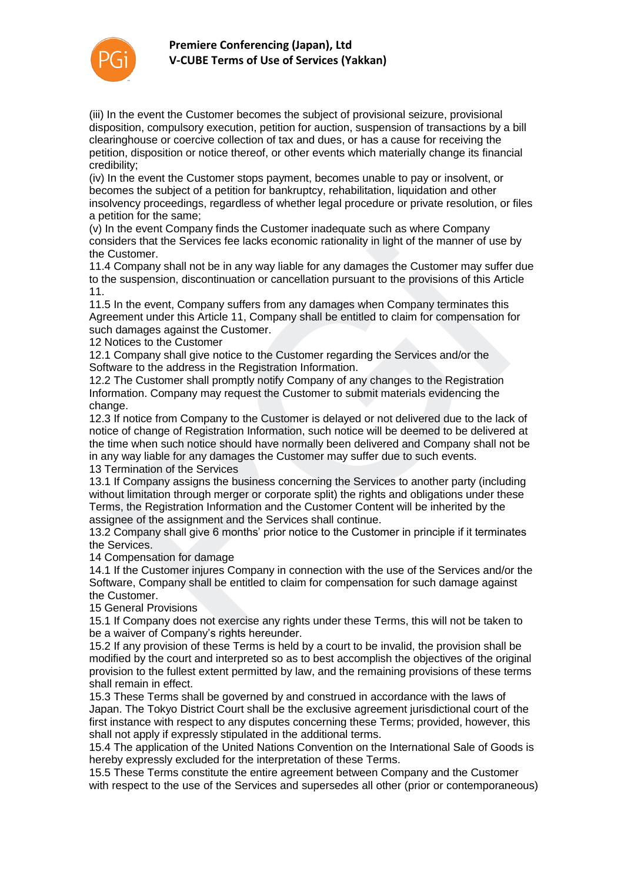

(iii) In the event the Customer becomes the subject of provisional seizure, provisional disposition, compulsory execution, petition for auction, suspension of transactions by a bill clearinghouse or coercive collection of tax and dues, or has a cause for receiving the petition, disposition or notice thereof, or other events which materially change its financial credibility;

(iv) In the event the Customer stops payment, becomes unable to pay or insolvent, or becomes the subject of a petition for bankruptcy, rehabilitation, liquidation and other insolvency proceedings, regardless of whether legal procedure or private resolution, or files a petition for the same;

(v) In the event Company finds the Customer inadequate such as where Company considers that the Services fee lacks economic rationality in light of the manner of use by the Customer.

11.4 Company shall not be in any way liable for any damages the Customer may suffer due to the suspension, discontinuation or cancellation pursuant to the provisions of this Article 11.

11.5 In the event, Company suffers from any damages when Company terminates this Agreement under this Article 11, Company shall be entitled to claim for compensation for such damages against the Customer.

12 Notices to the Customer

12.1 Company shall give notice to the Customer regarding the Services and/or the Software to the address in the Registration Information.

12.2 The Customer shall promptly notify Company of any changes to the Registration Information. Company may request the Customer to submit materials evidencing the change.

12.3 If notice from Company to the Customer is delayed or not delivered due to the lack of notice of change of Registration Information, such notice will be deemed to be delivered at the time when such notice should have normally been delivered and Company shall not be in any way liable for any damages the Customer may suffer due to such events. siders that the Services fee lacks economic rationality in light of the manner of use<br>Customer.<br>Customer.<br>Company shall not be in any way liable for any damages the Customer may suffer<br>e suspension, discontinuation or canc

13 Termination of the Services

13.1 If Company assigns the business concerning the Services to another party (including without limitation through merger or corporate split) the rights and obligations under these Terms, the Registration Information and the Customer Content will be inherited by the assignee of the assignment and the Services shall continue.

13.2 Company shall give 6 months' prior notice to the Customer in principle if it terminates the Services.

14 Compensation for damage

14.1 If the Customer injures Company in connection with the use of the Services and/or the Software, Company shall be entitled to claim for compensation for such damage against the Customer.

15 General Provisions

15.1 If Company does not exercise any rights under these Terms, this will not be taken to be a waiver of Company's rights hereunder.

15.2 If any provision of these Terms is held by a court to be invalid, the provision shall be modified by the court and interpreted so as to best accomplish the objectives of the original provision to the fullest extent permitted by law, and the remaining provisions of these terms shall remain in effect.

15.3 These Terms shall be governed by and construed in accordance with the laws of Japan. The Tokyo District Court shall be the exclusive agreement jurisdictional court of the first instance with respect to any disputes concerning these Terms; provided, however, this shall not apply if expressly stipulated in the additional terms.

15.4 The application of the United Nations Convention on the International Sale of Goods is hereby expressly excluded for the interpretation of these Terms.

15.5 These Terms constitute the entire agreement between Company and the Customer with respect to the use of the Services and supersedes all other (prior or contemporaneous)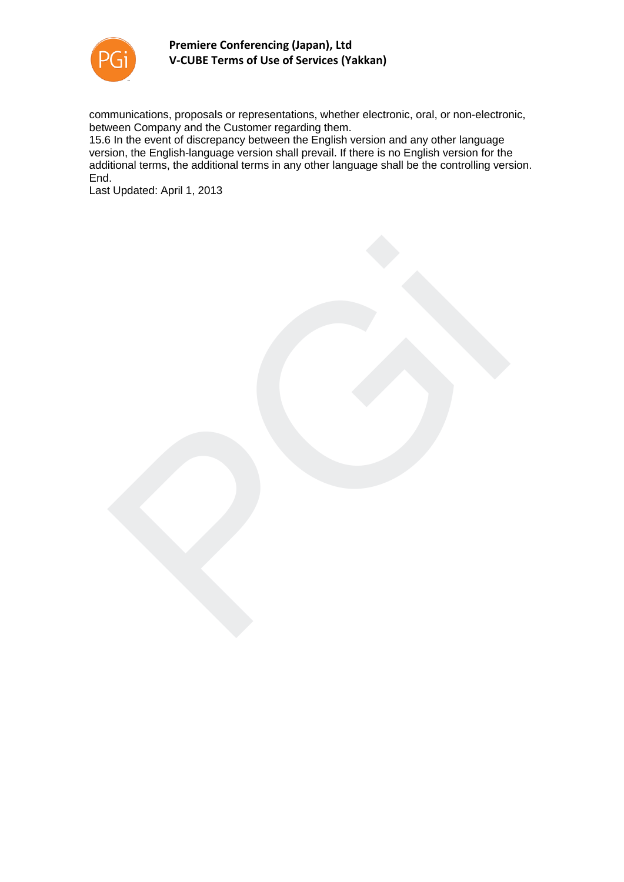

communications, proposals or representations, whether electronic, oral, or non-electronic, between Company and the Customer regarding them.

15.6 In the event of discrepancy between the English version and any other language version, the English-language version shall prevail. If there is no English version for the additional terms, the additional terms in any other language shall be the controlling version. End.

Last Updated: April 1, 2013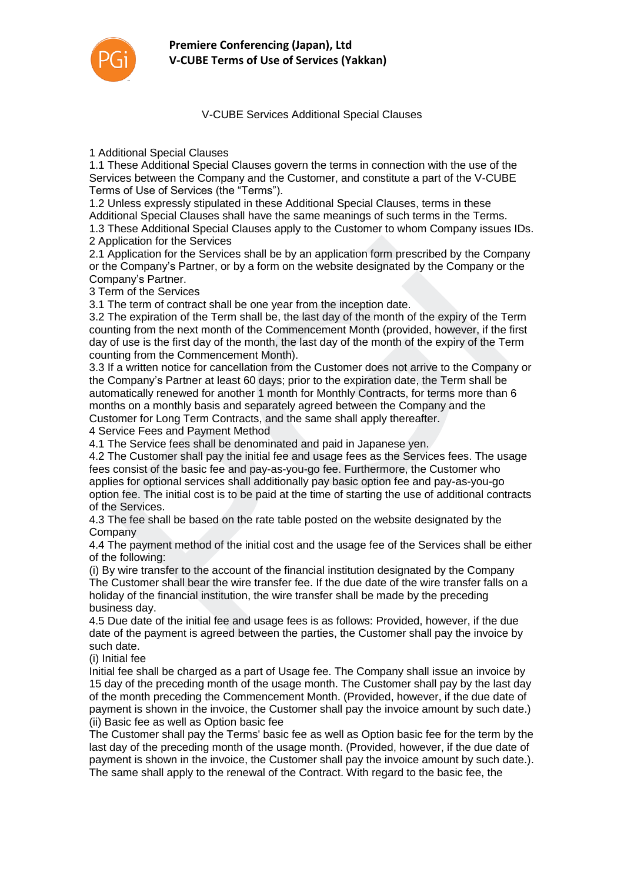

V-CUBE Services Additional Special Clauses

1 Additional Special Clauses

1.1 These Additional Special Clauses govern the terms in connection with the use of the Services between the Company and the Customer, and constitute a part of the V-CUBE Terms of Use of Services (the "Terms").

1.2 Unless expressly stipulated in these Additional Special Clauses, terms in these

Additional Special Clauses shall have the same meanings of such terms in the Terms.

1.3 These Additional Special Clauses apply to the Customer to whom Company issues IDs. 2 Application for the Services

2.1 Application for the Services shall be by an application form prescribed by the Company or the Company's Partner, or by a form on the website designated by the Company or the Company's Partner.

3 Term of the Services

3.1 The term of contract shall be one year from the inception date.

3.2 The expiration of the Term shall be, the last day of the month of the expiry of the Term counting from the next month of the Commencement Month (provided, however, if the first day of use is the first day of the month, the last day of the month of the expiry of the Term counting from the Commencement Month).

3.3 If a written notice for cancellation from the Customer does not arrive to the Company or the Company's Partner at least 60 days; prior to the expiration date, the Term shall be automatically renewed for another 1 month for Monthly Contracts, for terms more than 6 months on a monthly basis and separately agreed between the Company and the Customer for Long Term Contracts, and the same shall apply thereafter.

4 Service Fees and Payment Method

4.1 The Service fees shall be denominated and paid in Japanese yen.

4.2 The Customer shall pay the initial fee and usage fees as the Services fees. The usage fees consist of the basic fee and pay-as-you-go fee. Furthermore, the Customer who applies for optional services shall additionally pay basic option fee and pay-as-you-go option fee. The initial cost is to be paid at the time of starting the use of additional contracts of the Services. piplication for the Services shall be by an application form prescribed by the Compacted poplication for the Services shall be by an application form prescribed by the Company or papary's Partner, or by a form on the websi

4.3 The fee shall be based on the rate table posted on the website designated by the **Company** 

4.4 The payment method of the initial cost and the usage fee of the Services shall be either of the following:

(i) By wire transfer to the account of the financial institution designated by the Company The Customer shall bear the wire transfer fee. If the due date of the wire transfer falls on a holiday of the financial institution, the wire transfer shall be made by the preceding business day.

4.5 Due date of the initial fee and usage fees is as follows: Provided, however, if the due date of the payment is agreed between the parties, the Customer shall pay the invoice by such date.

(i) Initial fee

Initial fee shall be charged as a part of Usage fee. The Company shall issue an invoice by 15 day of the preceding month of the usage month. The Customer shall pay by the last day of the month preceding the Commencement Month. (Provided, however, if the due date of payment is shown in the invoice, the Customer shall pay the invoice amount by such date.) (ii) Basic fee as well as Option basic fee

The Customer shall pay the Terms' basic fee as well as Option basic fee for the term by the last day of the preceding month of the usage month. (Provided, however, if the due date of payment is shown in the invoice, the Customer shall pay the invoice amount by such date.). The same shall apply to the renewal of the Contract. With regard to the basic fee, the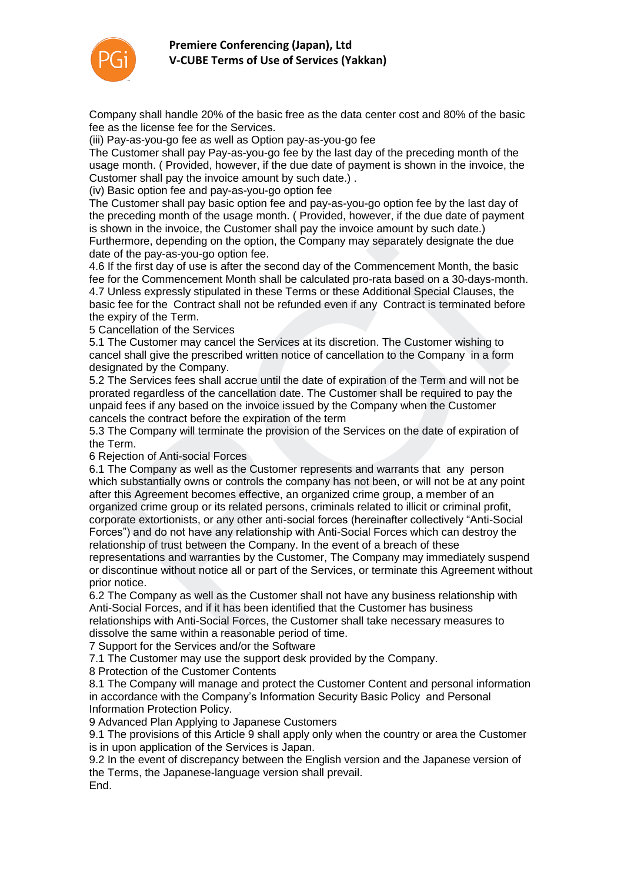

Company shall handle 20% of the basic free as the data center cost and 80% of the basic fee as the license fee for the Services.

(iii) Pay-as-you-go fee as well as Option pay-as-you-go fee

The Customer shall pay Pay-as-you-go fee by the last day of the preceding month of the usage month. ( Provided, however, if the due date of payment is shown in the invoice, the Customer shall pay the invoice amount by such date.) .

(iv) Basic option fee and pay-as-you-go option fee

The Customer shall pay basic option fee and pay-as-you-go option fee by the last day of the preceding month of the usage month. ( Provided, however, if the due date of payment is shown in the invoice, the Customer shall pay the invoice amount by such date.) Furthermore, depending on the option, the Company may separately designate the due date of the pay-as-you-go option fee.

4.6 If the first day of use is after the second day of the Commencement Month, the basic fee for the Commencement Month shall be calculated pro-rata based on a 30-days-month. 4.7 Unless expressly stipulated in these Terms or these Additional Special Clauses, the basic fee for the Contract shall not be refunded even if any Contract is terminated before the expiry of the Term.

5 Cancellation of the Services

5.1 The Customer may cancel the Services at its discretion. The Customer wishing to cancel shall give the prescribed written notice of cancellation to the Company in a form designated by the Company.

5.2 The Services fees shall accrue until the date of expiration of the Term and will not be prorated regardless of the cancellation date. The Customer shall be required to pay the unpaid fees if any based on the invoice issued by the Company when the Customer cancels the contract before the expiration of the term

5.3 The Company will terminate the provision of the Services on the date of expiration of the Term.

6 Rejection of Anti-social Forces

6.1 The Company as well as the Customer represents and warrants that any person which substantially owns or controls the company has not been, or will not be at any point after this Agreement becomes effective, an organized crime group, a member of an organized crime group or its related persons, criminals related to illicit or criminal profit, corporate extortionists, or any other anti-social forces (hereinafter collectively "Anti-Social Forces") and do not have any relationship with Anti-Social Forces which can destroy the relationship of trust between the Company. In the event of a breach of these thermore, depending on the option, the Company may separately designate the due of the pay-as-you-go option fee.<br>If the first day of use is after the second day of the Commencement Month, the bas for the Commencement Month

representations and warranties by the Customer, The Company may immediately suspend or discontinue without notice all or part of the Services, or terminate this Agreement without prior notice.

6.2 The Company as well as the Customer shall not have any business relationship with Anti-Social Forces, and if it has been identified that the Customer has business relationships with Anti-Social Forces, the Customer shall take necessary measures to dissolve the same within a reasonable period of time.

7 Support for the Services and/or the Software

7.1 The Customer may use the support desk provided by the Company.

8 Protection of the Customer Contents

8.1 The Company will manage and protect the Customer Content and personal information in accordance with the Company's Information Security Basic Policy and Personal Information Protection Policy.

9 Advanced Plan Applying to Japanese Customers

9.1 The provisions of this Article 9 shall apply only when the country or area the Customer is in upon application of the Services is Japan.

9.2 In the event of discrepancy between the English version and the Japanese version of the Terms, the Japanese-language version shall prevail. End.